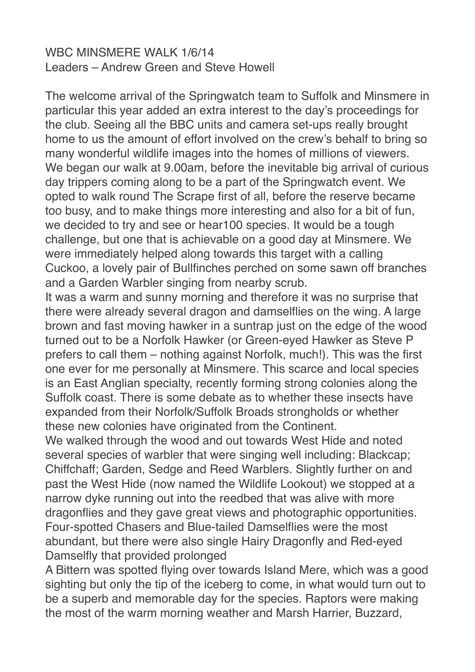## WBC MINSMERE WALK 1/6/14 Leaders – Andrew Green and Steve Howell

The welcome arrival of the Springwatch team to Suffolk and Minsmere in particular this year added an extra interest to the day's proceedings for the club. Seeing all the BBC units and camera set-ups really brought home to us the amount of effort involved on the crew's behalf to bring so many wonderful wildlife images into the homes of millions of viewers. We began our walk at 9.00am, before the inevitable big arrival of curious day trippers coming along to be a part of the Springwatch event. We opted to walk round The Scrape first of all, before the reserve became too busy, and to make things more interesting and also for a bit of fun, we decided to try and see or hear100 species. It would be a tough challenge, but one that is achievable on a good day at Minsmere. We were immediately helped along towards this target with a calling Cuckoo, a lovely pair of Bullfinches perched on some sawn off branches and a Garden Warbler singing from nearby scrub.

It was a warm and sunny morning and therefore it was no surprise that there were already several dragon and damselflies on the wing. A large brown and fast moving hawker in a suntrap just on the edge of the wood turned out to be a Norfolk Hawker (or Green-eyed Hawker as Steve P prefers to call them – nothing against Norfolk, much!). This was the first one ever for me personally at Minsmere. This scarce and local species is an East Anglian specialty, recently forming strong colonies along the Suffolk coast. There is some debate as to whether these insects have expanded from their Norfolk/Suffolk Broads strongholds or whether these new colonies have originated from the Continent.

We walked through the wood and out towards West Hide and noted several species of warbler that were singing well including: Blackcap; Chiffchaff; Garden, Sedge and Reed Warblers. Slightly further on and past the West Hide (now named the Wildlife Lookout) we stopped at a narrow dyke running out into the reedbed that was alive with more dragonflies and they gave great views and photographic opportunities. Four-spotted Chasers and Blue-tailed Damselflies were the most abundant, but there were also single Hairy Dragonfly and Red-eyed Damselfly that provided prolonged

A Bittern was spotted flying over towards Island Mere, which was a good sighting but only the tip of the iceberg to come, in what would turn out to be a superb and memorable day for the species. Raptors were making the most of the warm morning weather and Marsh Harrier, Buzzard,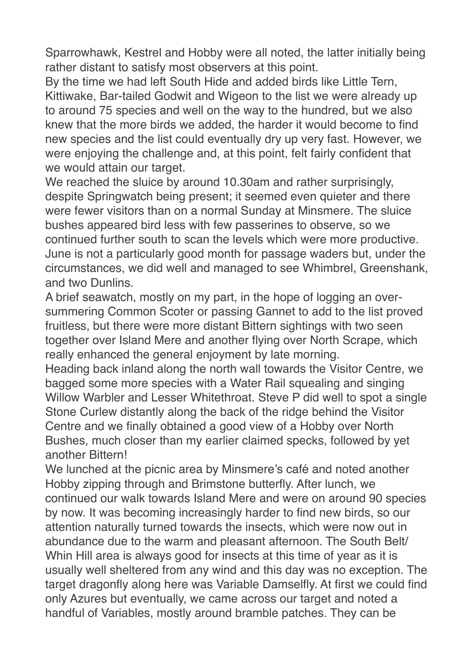Sparrowhawk, Kestrel and Hobby were all noted, the latter initially being rather distant to satisfy most observers at this point.

By the time we had left South Hide and added birds like Little Tern, Kittiwake, Bar-tailed Godwit and Wigeon to the list we were already up to around 75 species and well on the way to the hundred, but we also knew that the more birds we added, the harder it would become to find new species and the list could eventually dry up very fast. However, we were enjoying the challenge and, at this point, felt fairly confident that we would attain our target.

We reached the sluice by around 10.30am and rather surprisingly, despite Springwatch being present; it seemed even quieter and there were fewer visitors than on a normal Sunday at Minsmere. The sluice bushes appeared bird less with few passerines to observe, so we continued further south to scan the levels which were more productive. June is not a particularly good month for passage waders but, under the circumstances, we did well and managed to see Whimbrel, Greenshank, and two Dunlins.

A brief seawatch, mostly on my part, in the hope of logging an oversummering Common Scoter or passing Gannet to add to the list proved fruitless, but there were more distant Bittern sightings with two seen together over Island Mere and another flying over North Scrape, which really enhanced the general enjoyment by late morning.

Heading back inland along the north wall towards the Visitor Centre, we bagged some more species with a Water Rail squealing and singing Willow Warbler and Lesser Whitethroat. Steve P did well to spot a single Stone Curlew distantly along the back of the ridge behind the Visitor Centre and we finally obtained a good view of a Hobby over North Bushes, much closer than my earlier claimed specks, followed by yet another Bittern!

We lunched at the picnic area by Minsmere's café and noted another Hobby zipping through and Brimstone butterfly. After lunch, we continued our walk towards Island Mere and were on around 90 species by now. It was becoming increasingly harder to find new birds, so our attention naturally turned towards the insects, which were now out in abundance due to the warm and pleasant afternoon. The South Belt/ Whin Hill area is always good for insects at this time of year as it is usually well sheltered from any wind and this day was no exception. The target dragonfly along here was Variable Damselfly. At first we could find only Azures but eventually, we came across our target and noted a handful of Variables, mostly around bramble patches. They can be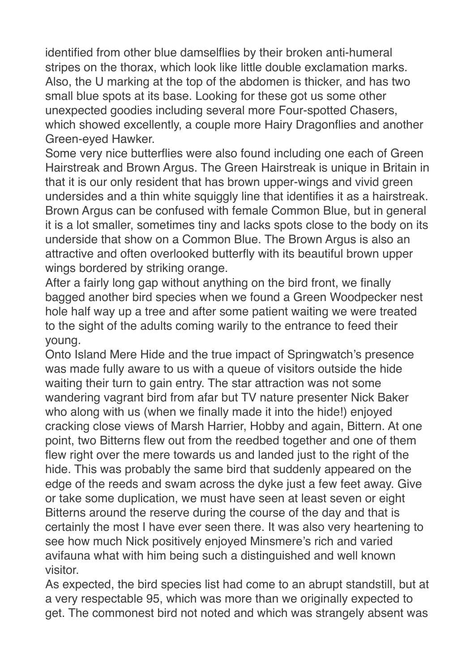identified from other blue damselflies by their broken anti-humeral stripes on the thorax, which look like little double exclamation marks. Also, the U marking at the top of the abdomen is thicker, and has two small blue spots at its base. Looking for these got us some other unexpected goodies including several more Four-spotted Chasers, which showed excellently, a couple more Hairy Dragonflies and another Green-eyed Hawker.

Some very nice butterflies were also found including one each of Green Hairstreak and Brown Argus. The Green Hairstreak is unique in Britain in that it is our only resident that has brown upper-wings and vivid green undersides and a thin white squiggly line that identifies it as a hairstreak. Brown Argus can be confused with female Common Blue, but in general it is a lot smaller, sometimes tiny and lacks spots close to the body on its underside that show on a Common Blue. The Brown Argus is also an attractive and often overlooked butterfly with its beautiful brown upper wings bordered by striking orange.

After a fairly long gap without anything on the bird front, we finally bagged another bird species when we found a Green Woodpecker nest hole half way up a tree and after some patient waiting we were treated to the sight of the adults coming warily to the entrance to feed their young.

Onto Island Mere Hide and the true impact of Springwatch's presence was made fully aware to us with a queue of visitors outside the hide waiting their turn to gain entry. The star attraction was not some wandering vagrant bird from afar but TV nature presenter Nick Baker who along with us (when we finally made it into the hide!) enjoyed cracking close views of Marsh Harrier, Hobby and again, Bittern. At one point, two Bitterns flew out from the reedbed together and one of them flew right over the mere towards us and landed just to the right of the hide. This was probably the same bird that suddenly appeared on the edge of the reeds and swam across the dyke just a few feet away. Give or take some duplication, we must have seen at least seven or eight Bitterns around the reserve during the course of the day and that is certainly the most I have ever seen there. It was also very heartening to see how much Nick positively enjoyed Minsmere's rich and varied avifauna what with him being such a distinguished and well known visitor.

As expected, the bird species list had come to an abrupt standstill, but at a very respectable 95, which was more than we originally expected to get. The commonest bird not noted and which was strangely absent was